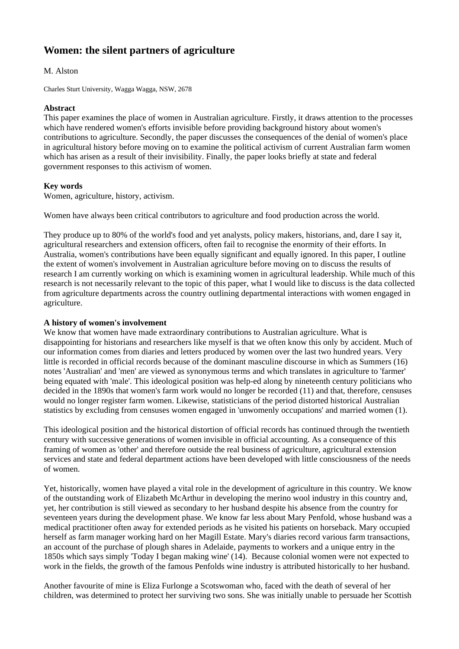# **Women: the silent partners of agriculture**

# M. Alston

Charles Sturt University, Wagga Wagga, NSW, 2678

## **Abstract**

This paper examines the place of women in Australian agriculture. Firstly, it draws attention to the processes which have rendered women's efforts invisible before providing background history about women's contributions to agriculture. Secondly, the paper discusses the consequences of the denial of women's place in agricultural history before moving on to examine the political activism of current Australian farm women which has arisen as a result of their invisibility. Finally, the paper looks briefly at state and federal government responses to this activism of women.

## **Key words**

Women, agriculture, history, activism.

Women have always been critical contributors to agriculture and food production across the world.

They produce up to 80% of the world's food and yet analysts, policy makers, historians, and, dare I say it, agricultural researchers and extension officers, often fail to recognise the enormity of their efforts. In Australia, women's contributions have been equally significant and equally ignored. In this paper, I outline the extent of women's involvement in Australian agriculture before moving on to discuss the results of research I am currently working on which is examining women in agricultural leadership. While much of this research is not necessarily relevant to the topic of this paper, what I would like to discuss is the data collected from agriculture departments across the country outlining departmental interactions with women engaged in agriculture.

# **A history of women's involvement**

We know that women have made extraordinary contributions to Australian agriculture. What is disappointing for historians and researchers like myself is that we often know this only by accident. Much of our information comes from diaries and letters produced by women over the last two hundred years. Very little is recorded in official records because of the dominant masculine discourse in which as Summers (16) notes 'Australian' and 'men' are viewed as synonymous terms and which translates in agriculture to 'farmer' being equated with 'male'. This ideological position was help-ed along by nineteenth century politicians who decided in the 1890s that women's farm work would no longer be recorded (11) and that, therefore, censuses would no longer register farm women. Likewise, statisticians of the period distorted historical Australian statistics by excluding from censuses women engaged in 'unwomenly occupations' and married women (1).

This ideological position and the historical distortion of official records has continued through the twentieth century with successive generations of women invisible in official accounting. As a consequence of this framing of women as 'other' and therefore outside the real business of agriculture, agricultural extension services and state and federal department actions have been developed with little consciousness of the needs of women.

Yet, historically, women have played a vital role in the development of agriculture in this country. We know of the outstanding work of Elizabeth McArthur in developing the merino wool industry in this country and, yet, her contribution is still viewed as secondary to her husband despite his absence from the country for seventeen years during the development phase. We know far less about Mary Penfold, whose husband was a medical practitioner often away for extended periods as he visited his patients on horseback. Mary occupied herself as farm manager working hard on her Magill Estate. Mary's diaries record various farm transactions, an account of the purchase of plough shares in Adelaide, payments to workers and a unique entry in the 1850s which says simply 'Today I began making wine' (14). Because colonial women were not expected to work in the fields, the growth of the famous Penfolds wine industry is attributed historically to her husband.

Another favourite of mine is Eliza Furlonge a Scotswoman who, faced with the death of several of her children, was determined to protect her surviving two sons. She was initially unable to persuade her Scottish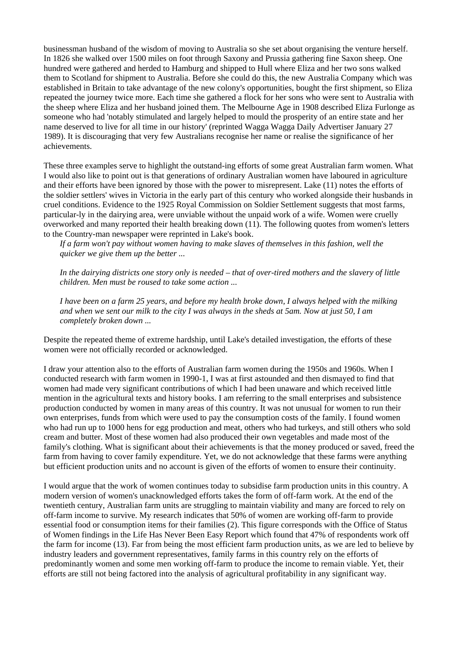businessman husband of the wisdom of moving to Australia so she set about organising the venture herself. In 1826 she walked over 1500 miles on foot through Saxony and Prussia gathering fine Saxon sheep. One hundred were gathered and herded to Hamburg and shipped to Hull where Eliza and her two sons walked them to Scotland for shipment to Australia. Before she could do this, the new Australia Company which was established in Britain to take advantage of the new colony's opportunities, bought the first shipment, so Eliza repeated the journey twice more. Each time she gathered a flock for her sons who were sent to Australia with the sheep where Eliza and her husband joined them. The Melbourne Age in 1908 described Eliza Furlonge as someone who had 'notably stimulated and largely helped to mould the prosperity of an entire state and her name deserved to live for all time in our history' (reprinted Wagga Wagga Daily Advertiser January 27 1989). It is discouraging that very few Australians recognise her name or realise the significance of her achievements.

These three examples serve to highlight the outstand-ing efforts of some great Australian farm women. What I would also like to point out is that generations of ordinary Australian women have laboured in agriculture and their efforts have been ignored by those with the power to misrepresent. Lake (11) notes the efforts of the soldier settlers' wives in Victoria in the early part of this century who worked alongside their husbands in cruel conditions. Evidence to the 1925 Royal Commission on Soldier Settlement suggests that most farms, particular-ly in the dairying area, were unviable without the unpaid work of a wife. Women were cruelly overworked and many reported their health breaking down (11). The following quotes from women's letters to the Country-man newspaper were reprinted in Lake's book.

*If a farm won't pay without women having to make slaves of themselves in this fashion, well the quicker we give them up the better ...* 

*In the dairying districts one story only is needed – that of over-tired mothers and the slavery of little children. Men must be roused to take some action ...* 

*I have been on a farm 25 years, and before my health broke down, I always helped with the milking and when we sent our milk to the city I was always in the sheds at 5am. Now at just 50, I am completely broken down ...* 

Despite the repeated theme of extreme hardship, until Lake's detailed investigation, the efforts of these women were not officially recorded or acknowledged.

I draw your attention also to the efforts of Australian farm women during the 1950s and 1960s. When I conducted research with farm women in 1990-1, I was at first astounded and then dismayed to find that women had made very significant contributions of which I had been unaware and which received little mention in the agricultural texts and history books. I am referring to the small enterprises and subsistence production conducted by women in many areas of this country. It was not unusual for women to run their own enterprises, funds from which were used to pay the consumption costs of the family. I found women who had run up to 1000 hens for egg production and meat, others who had turkeys, and still others who sold cream and butter. Most of these women had also produced their own vegetables and made most of the family's clothing. What is significant about their achievements is that the money produced or saved, freed the farm from having to cover family expenditure. Yet, we do not acknowledge that these farms were anything but efficient production units and no account is given of the efforts of women to ensure their continuity.

I would argue that the work of women continues today to subsidise farm production units in this country. A modern version of women's unacknowledged efforts takes the form of off-farm work. At the end of the twentieth century, Australian farm units are struggling to maintain viability and many are forced to rely on off-farm income to survive. My research indicates that 50% of women are working off-farm to provide essential food or consumption items for their families (2). This figure corresponds with the Office of Status of Women findings in the Life Has Never Been Easy Report which found that 47% of respondents work off the farm for income (13). Far from being the most efficient farm production units, as we are led to believe by industry leaders and government representatives, family farms in this country rely on the efforts of predominantly women and some men working off-farm to produce the income to remain viable. Yet, their efforts are still not being factored into the analysis of agricultural profitability in any significant way.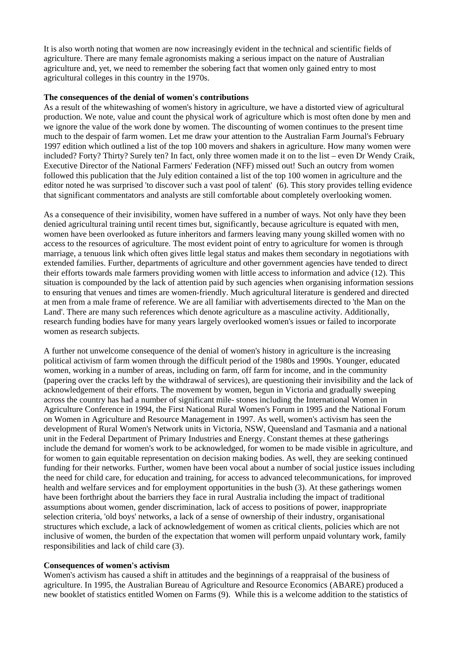It is also worth noting that women are now increasingly evident in the technical and scientific fields of agriculture. There are many female agronomists making a serious impact on the nature of Australian agriculture and, yet, we need to remember the sobering fact that women only gained entry to most agricultural colleges in this country in the 1970s.

#### **The consequences of the denial of women's contributions**

As a result of the whitewashing of women's history in agriculture, we have a distorted view of agricultural production. We note, value and count the physical work of agriculture which is most often done by men and we ignore the value of the work done by women. The discounting of women continues to the present time much to the despair of farm women. Let me draw your attention to the Australian Farm Journal's February 1997 edition which outlined a list of the top 100 movers and shakers in agriculture. How many women were included? Forty? Thirty? Surely ten? In fact, only three women made it on to the list – even Dr Wendy Craik, Executive Director of the National Farmers' Federation (NFF) missed out! Such an outcry from women followed this publication that the July edition contained a list of the top 100 women in agriculture and the editor noted he was surprised 'to discover such a vast pool of talent' (6). This story provides telling evidence that significant commentators and analysts are still comfortable about completely overlooking women.

As a consequence of their invisibility, women have suffered in a number of ways. Not only have they been denied agricultural training until recent times but, significantly, because agriculture is equated with men, women have been overlooked as future inheritors and farmers leaving many young skilled women with no access to the resources of agriculture. The most evident point of entry to agriculture for women is through marriage, a tenuous link which often gives little legal status and makes them secondary in negotiations with extended families. Further, departments of agriculture and other government agencies have tended to direct their efforts towards male farmers providing women with little access to information and advice (12). This situation is compounded by the lack of attention paid by such agencies when organising information sessions to ensuring that venues and times are women-friendly. Much agricultural literature is gendered and directed at men from a male frame of reference. We are all familiar with advertisements directed to 'the Man on the Land'. There are many such references which denote agriculture as a masculine activity. Additionally, research funding bodies have for many years largely overlooked women's issues or failed to incorporate women as research subjects.

A further not unwelcome consequence of the denial of women's history in agriculture is the increasing political activism of farm women through the difficult period of the 1980s and 1990s. Younger, educated women, working in a number of areas, including on farm, off farm for income, and in the community (papering over the cracks left by the withdrawal of services), are questioning their invisibility and the lack of acknowledgement of their efforts. The movement by women, begun in Victoria and gradually sweeping across the country has had a number of significant mile- stones including the International Women in Agriculture Conference in 1994, the First National Rural Women's Forum in 1995 and the National Forum on Women in Agriculture and Resource Management in 1997. As well, women's activism has seen the development of Rural Women's Network units in Victoria, NSW, Queensland and Tasmania and a national unit in the Federal Department of Primary Industries and Energy. Constant themes at these gatherings include the demand for women's work to be acknowledged, for women to be made visible in agriculture, and for women to gain equitable representation on decision making bodies. As well, they are seeking continued funding for their networks. Further, women have been vocal about a number of social justice issues including the need for child care, for education and training, for access to advanced telecommunications, for improved health and welfare services and for employment opportunities in the bush (3). At these gatherings women have been forthright about the barriers they face in rural Australia including the impact of traditional assumptions about women, gender discrimination, lack of access to positions of power, inappropriate selection criteria, 'old boys' networks, a lack of a sense of ownership of their industry, organisational structures which exclude, a lack of acknowledgement of women as critical clients, policies which are not inclusive of women, the burden of the expectation that women will perform unpaid voluntary work, family responsibilities and lack of child care (3).

## **Consequences of women's activism**

Women's activism has caused a shift in attitudes and the beginnings of a reappraisal of the business of agriculture. In 1995, the Australian Bureau of Agriculture and Resource Economics (ABARE) produced a new booklet of statistics entitled Women on Farms (9). While this is a welcome addition to the statistics of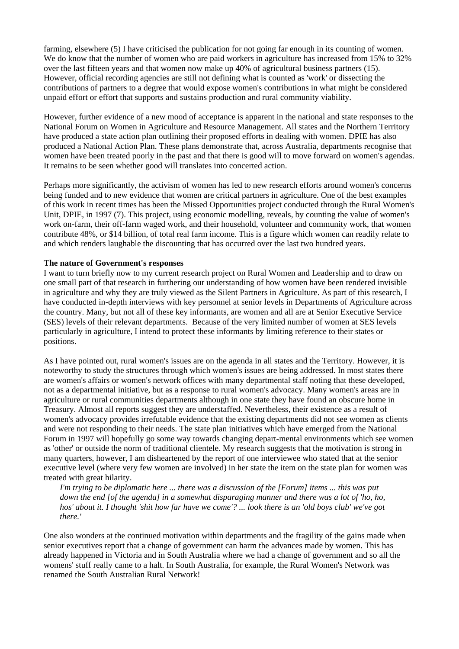farming, elsewhere (5) I have criticised the publication for not going far enough in its counting of women. We do know that the number of women who are paid workers in agriculture has increased from 15% to 32% over the last fifteen years and that women now make up 40% of agricultural business partners (15). However, official recording agencies are still not defining what is counted as 'work' or dissecting the contributions of partners to a degree that would expose women's contributions in what might be considered unpaid effort or effort that supports and sustains production and rural community viability.

However, further evidence of a new mood of acceptance is apparent in the national and state responses to the National Forum on Women in Agriculture and Resource Management. All states and the Northern Territory have produced a state action plan outlining their proposed efforts in dealing with women. DPIE has also produced a National Action Plan. These plans demonstrate that, across Australia, departments recognise that women have been treated poorly in the past and that there is good will to move forward on women's agendas. It remains to be seen whether good will translates into concerted action.

Perhaps more significantly, the activism of women has led to new research efforts around women's concerns being funded and to new evidence that women are critical partners in agriculture. One of the best examples of this work in recent times has been the Missed Opportunities project conducted through the Rural Women's Unit, DPIE, in 1997 (7). This project, using economic modelling, reveals, by counting the value of women's work on-farm, their off-farm waged work, and their household, volunteer and community work, that women contribute 48%, or \$14 billion, of total real farm income. This is a figure which women can readily relate to and which renders laughable the discounting that has occurred over the last two hundred years.

## **The nature of Government's responses**

I want to turn briefly now to my current research project on Rural Women and Leadership and to draw on one small part of that research in furthering our understanding of how women have been rendered invisible in agriculture and why they are truly viewed as the Silent Partners in Agriculture. As part of this research, I have conducted in-depth interviews with key personnel at senior levels in Departments of Agriculture across the country. Many, but not all of these key informants, are women and all are at Senior Executive Service (SES) levels of their relevant departments. Because of the very limited number of women at SES levels particularly in agriculture, I intend to protect these informants by limiting reference to their states or positions.

As I have pointed out, rural women's issues are on the agenda in all states and the Territory. However, it is noteworthy to study the structures through which women's issues are being addressed. In most states there are women's affairs or women's network offices with many departmental staff noting that these developed, not as a departmental initiative, but as a response to rural women's advocacy. Many women's areas are in agriculture or rural communities departments although in one state they have found an obscure home in Treasury. Almost all reports suggest they are understaffed. Nevertheless, their existence as a result of women's advocacy provides irrefutable evidence that the existing departments did not see women as clients and were not responding to their needs. The state plan initiatives which have emerged from the National Forum in 1997 will hopefully go some way towards changing depart-mental environments which see women as 'other' or outside the norm of traditional clientele. My research suggests that the motivation is strong in many quarters, however, I am disheartened by the report of one interviewee who stated that at the senior executive level (where very few women are involved) in her state the item on the state plan for women was treated with great hilarity.

*I'm trying to be diplomatic here ... there was a discussion of the [Forum] items ... this was put down the end [of the agenda] in a somewhat disparaging manner and there was a lot of 'ho, ho, hos' about it. I thought 'shit how far have we come'? ... look there is an 'old boys club' we've got there.'* 

One also wonders at the continued motivation within departments and the fragility of the gains made when senior executives report that a change of government can harm the advances made by women. This has already happened in Victoria and in South Australia where we had a change of government and so all the womens' stuff really came to a halt. In South Australia, for example, the Rural Women's Network was renamed the South Australian Rural Network!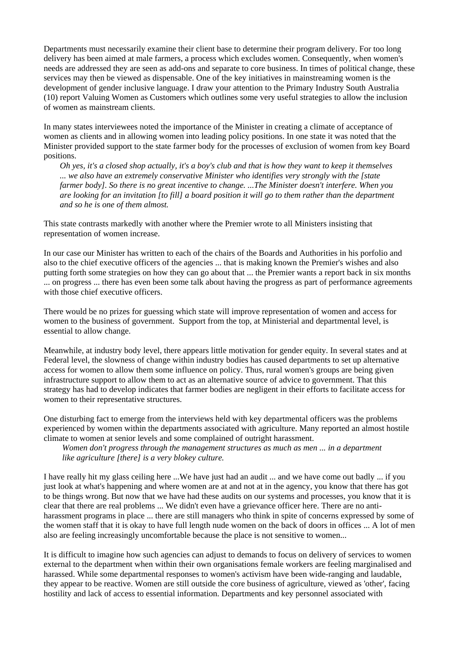Departments must necessarily examine their client base to determine their program delivery. For too long delivery has been aimed at male farmers, a process which excludes women. Consequently, when women's needs are addressed they are seen as add-ons and separate to core business. In times of political change, these services may then be viewed as dispensable. One of the key initiatives in mainstreaming women is the development of gender inclusive language. I draw your attention to the Primary Industry South Australia (10) report Valuing Women as Customers which outlines some very useful strategies to allow the inclusion of women as mainstream clients.

In many states interviewees noted the importance of the Minister in creating a climate of acceptance of women as clients and in allowing women into leading policy positions. In one state it was noted that the Minister provided support to the state farmer body for the processes of exclusion of women from key Board positions.

*Oh yes, it's a closed shop actually, it's a boy's club and that is how they want to keep it themselves ... we also have an extremely conservative Minister who identifies very strongly with the [state farmer body]. So there is no great incentive to change. ...The Minister doesn't interfere. When you are looking for an invitation [to fill] a board position it will go to them rather than the department and so he is one of them almost.* 

This state contrasts markedly with another where the Premier wrote to all Ministers insisting that representation of women increase.

In our case our Minister has written to each of the chairs of the Boards and Authorities in his porfolio and also to the chief executive officers of the agencies ... that is making known the Premier's wishes and also putting forth some strategies on how they can go about that ... the Premier wants a report back in six months ... on progress ... there has even been some talk about having the progress as part of performance agreements with those chief executive officers.

There would be no prizes for guessing which state will improve representation of women and access for women to the business of government. Support from the top, at Ministerial and departmental level, is essential to allow change.

Meanwhile, at industry body level, there appears little motivation for gender equity. In several states and at Federal level, the slowness of change within industry bodies has caused departments to set up alternative access for women to allow them some influence on policy. Thus, rural women's groups are being given infrastructure support to allow them to act as an alternative source of advice to government. That this strategy has had to develop indicates that farmer bodies are negligent in their efforts to facilitate access for women to their representative structures.

One disturbing fact to emerge from the interviews held with key departmental officers was the problems experienced by women within the departments associated with agriculture. Many reported an almost hostile climate to women at senior levels and some complained of outright harassment.

*Women don't progress through the management structures as much as men ... in a department like agriculture [there] is a very blokey culture.* 

I have really hit my glass ceiling here ...We have just had an audit ... and we have come out badly ... if you just look at what's happening and where women are at and not at in the agency, you know that there has got to be things wrong. But now that we have had these audits on our systems and processes, you know that it is clear that there are real problems ... We didn't even have a grievance officer here. There are no antiharassment programs in place ... there are still managers who think in spite of concerns expressed by some of the women staff that it is okay to have full length nude women on the back of doors in offices ... A lot of men also are feeling increasingly uncomfortable because the place is not sensitive to women...

It is difficult to imagine how such agencies can adjust to demands to focus on delivery of services to women external to the department when within their own organisations female workers are feeling marginalised and harassed. While some departmental responses to women's activism have been wide-ranging and laudable, they appear to be reactive. Women are still outside the core business of agriculture, viewed as 'other', facing hostility and lack of access to essential information. Departments and key personnel associated with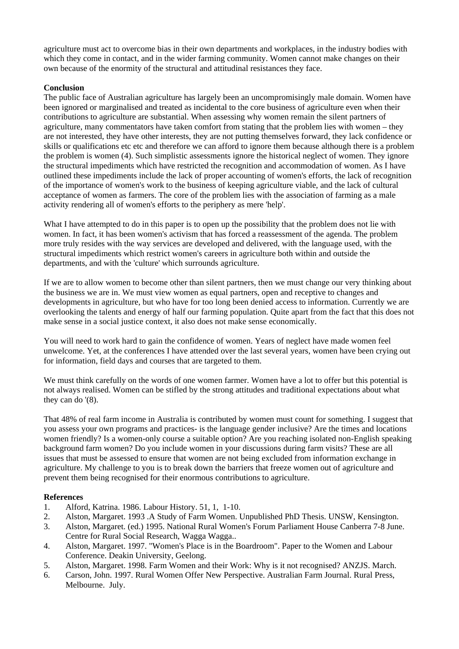agriculture must act to overcome bias in their own departments and workplaces, in the industry bodies with which they come in contact, and in the wider farming community. Women cannot make changes on their own because of the enormity of the structural and attitudinal resistances they face.

## **Conclusion**

The public face of Australian agriculture has largely been an uncompromisingly male domain. Women have been ignored or marginalised and treated as incidental to the core business of agriculture even when their contributions to agriculture are substantial. When assessing why women remain the silent partners of agriculture, many commentators have taken comfort from stating that the problem lies with women – they are not interested, they have other interests, they are not putting themselves forward, they lack confidence or skills or qualifications etc etc and therefore we can afford to ignore them because although there is a problem the problem is women (4). Such simplistic assessments ignore the historical neglect of women. They ignore the structural impediments which have restricted the recognition and accommodation of women. As I have outlined these impediments include the lack of proper accounting of women's efforts, the lack of recognition of the importance of women's work to the business of keeping agriculture viable, and the lack of cultural acceptance of women as farmers. The core of the problem lies with the association of farming as a male activity rendering all of women's efforts to the periphery as mere 'help'.

What I have attempted to do in this paper is to open up the possibility that the problem does not lie with women. In fact, it has been women's activism that has forced a reassessment of the agenda. The problem more truly resides with the way services are developed and delivered, with the language used, with the structural impediments which restrict women's careers in agriculture both within and outside the departments, and with the 'culture' which surrounds agriculture.

If we are to allow women to become other than silent partners, then we must change our very thinking about the business we are in. We must view women as equal partners, open and receptive to changes and developments in agriculture, but who have for too long been denied access to information. Currently we are overlooking the talents and energy of half our farming population. Quite apart from the fact that this does not make sense in a social justice context, it also does not make sense economically.

You will need to work hard to gain the confidence of women. Years of neglect have made women feel unwelcome. Yet, at the conferences I have attended over the last several years, women have been crying out for information, field days and courses that are targeted to them.

We must think carefully on the words of one women farmer. Women have a lot to offer but this potential is not always realised. Women can be stifled by the strong attitudes and traditional expectations about what they can do '(8).

That 48% of real farm income in Australia is contributed by women must count for something. I suggest that you assess your own programs and practices- is the language gender inclusive? Are the times and locations women friendly? Is a women-only course a suitable option? Are you reaching isolated non-English speaking background farm women? Do you include women in your discussions during farm visits? These are all issues that must be assessed to ensure that women are not being excluded from information exchange in agriculture. My challenge to you is to break down the barriers that freeze women out of agriculture and prevent them being recognised for their enormous contributions to agriculture.

## **References**

- 1. Alford, Katrina. 1986. Labour History. 51, 1, 1-10.
- 2. Alston, Margaret. 1993 .A Study of Farm Women. Unpublished PhD Thesis. UNSW, Kensington.
- 3. Alston, Margaret. (ed.) 1995. National Rural Women's Forum Parliament House Canberra 7-8 June. Centre for Rural Social Research, Wagga Wagga..
- 4. Alston, Margaret. 1997. "Women's Place is in the Boardroom". Paper to the Women and Labour Conference. Deakin University, Geelong.
- 5. Alston, Margaret. 1998. Farm Women and their Work: Why is it not recognised? ANZJS. March.
- 6. Carson, John. 1997. Rural Women Offer New Perspective. Australian Farm Journal. Rural Press, Melbourne. July.